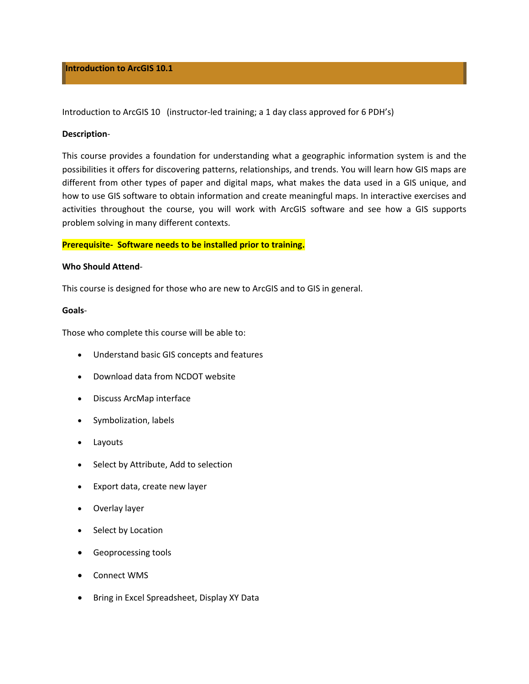## **Introduction to ArcGIS 10.1**

Introduction to ArcGIS 10 (instructor-led training; a 1 day class approved for 6 PDH's)

## **Description**‐

This course provides a foundation for understanding what a geographic information system is and the possibilities it offers for discovering patterns, relationships, and trends. You will learn how GIS maps are different from other types of paper and digital maps, what makes the data used in a GIS unique, and how to use GIS software to obtain information and create meaningful maps. In interactive exercises and activities throughout the course, you will work with ArcGIS software and see how a GIS supports problem solving in many different contexts.

# **Prerequisite‐ Software needs to be installed prior to training.**

## **Who Should Attend**‐

This course is designed for those who are new to ArcGIS and to GIS in general.

#### **Goals**‐

Those who complete this course will be able to:

- Understand basic GIS concepts and features
- Download data from NCDOT website
- Discuss ArcMap interface
- Symbolization, labels
- Layouts
- Select by Attribute, Add to selection
- Export data, create new layer
- Overlay layer
- Select by Location
- **•** Geoprocessing tools
- Connect WMS
- Bring in Excel Spreadsheet, Display XY Data